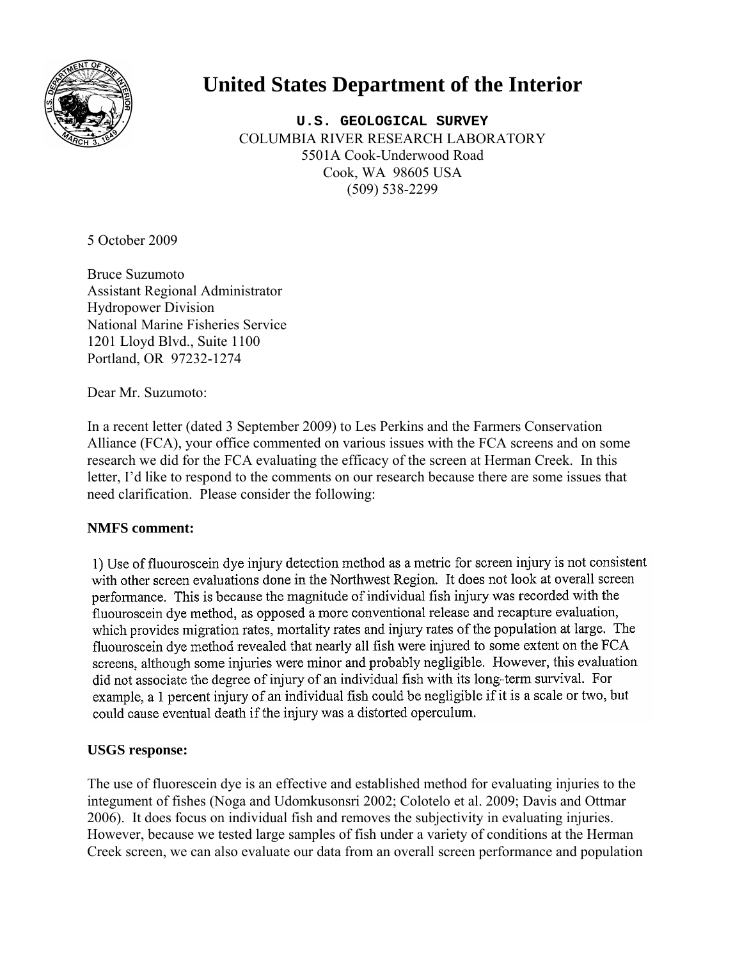

# **United States Department of the Interior**

**U.S. GEOLOGICAL SURVEY** COLUMBIA RIVER RESEARCH LABORATORY 5501A Cook-Underwood Road Cook, WA 98605 USA (509) 538-2299

5 October 2009

Bruce Suzumoto Assistant Regional Administrator Hydropower Division National Marine Fisheries Service 1201 Lloyd Blvd., Suite 1100 Portland, OR 97232-1274

Dear Mr. Suzumoto:

In a recent letter (dated 3 September 2009) to Les Perkins and the Farmers Conservation Alliance (FCA), your office commented on various issues with the FCA screens and on some research we did for the FCA evaluating the efficacy of the screen at Herman Creek. In this letter, I'd like to respond to the comments on our research because there are some issues that need clarification. Please consider the following:

# **NMFS comment:**

1) Use of fluouroscein dye injury detection method as a metric for screen injury is not consistent with other screen evaluations done in the Northwest Region. It does not look at overall screen performance. This is because the magnitude of individual fish injury was recorded with the fluouroscein dye method, as opposed a more conventional release and recapture evaluation, which provides migration rates, mortality rates and injury rates of the population at large. The fluouroscein dye method revealed that nearly all fish were injured to some extent on the FCA screens, although some injuries were minor and probably negligible. However, this evaluation did not associate the degree of injury of an individual fish with its long-term survival. For example, a 1 percent injury of an individual fish could be negligible if it is a scale or two, but could cause eventual death if the injury was a distorted operculum.

# **USGS response:**

The use of fluorescein dye is an effective and established method for evaluating injuries to the integument of fishes (Noga and Udomkusonsri 2002; Colotelo et al. 2009; Davis and Ottmar 2006). It does focus on individual fish and removes the subjectivity in evaluating injuries. However, because we tested large samples of fish under a variety of conditions at the Herman Creek screen, we can also evaluate our data from an overall screen performance and population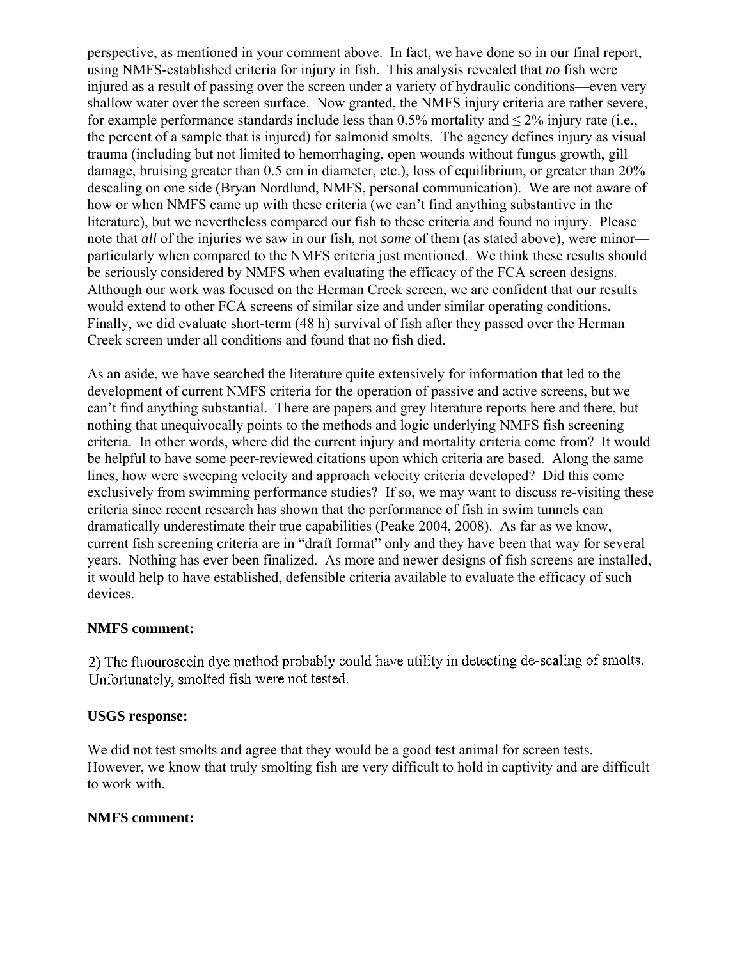perspective, as mentioned in your comment above. In fact, we have done so in our final report, using NMFS-established criteria for injury in fish. This analysis revealed that *no* fish were injured as a result of passing over the screen under a variety of hydraulic conditions—even very shallow water over the screen surface. Now granted, the NMFS injury criteria are rather severe, for example performance standards include less than  $0.5\%$  mortality and  $\leq 2\%$  injury rate (i.e., the percent of a sample that is injured) for salmonid smolts. The agency defines injury as visual trauma (including but not limited to hemorrhaging, open wounds without fungus growth, gill damage, bruising greater than 0.5 cm in diameter, etc.), loss of equilibrium, or greater than 20% descaling on one side (Bryan Nordlund, NMFS, personal communication). We are not aware of how or when NMFS came up with these criteria (we can't find anything substantive in the literature), but we nevertheless compared our fish to these criteria and found no injury. Please note that *all* of the injuries we saw in our fish, not *some* of them (as stated above), were minor particularly when compared to the NMFS criteria just mentioned. We think these results should be seriously considered by NMFS when evaluating the efficacy of the FCA screen designs. Although our work was focused on the Herman Creek screen, we are confident that our results would extend to other FCA screens of similar size and under similar operating conditions. Finally, we did evaluate short-term (48 h) survival of fish after they passed over the Herman Creek screen under all conditions and found that no fish died.

As an aside, we have searched the literature quite extensively for information that led to the development of current NMFS criteria for the operation of passive and active screens, but we can't find anything substantial. There are papers and grey literature reports here and there, but nothing that unequivocally points to the methods and logic underlying NMFS fish screening criteria. In other words, where did the current injury and mortality criteria come from? It would be helpful to have some peer-reviewed citations upon which criteria are based. Along the same lines, how were sweeping velocity and approach velocity criteria developed? Did this come exclusively from swimming performance studies? If so, we may want to discuss re-visiting these criteria since recent research has shown that the performance of fish in swim tunnels can dramatically underestimate their true capabilities (Peake 2004, 2008). As far as we know, current fish screening criteria are in "draft format" only and they have been that way for several years. Nothing has ever been finalized. As more and newer designs of fish screens are installed, it would help to have established, defensible criteria available to evaluate the efficacy of such devices.

### **NMFS comment:**

2) The fluouroscein dye method probably could have utility in detecting de-scaling of smolts. Unfortunately, smolted fish were not tested.

### **USGS response:**

We did not test smolts and agree that they would be a good test animal for screen tests. However, we know that truly smolting fish are very difficult to hold in captivity and are difficult to work with.

### **NMFS comment:**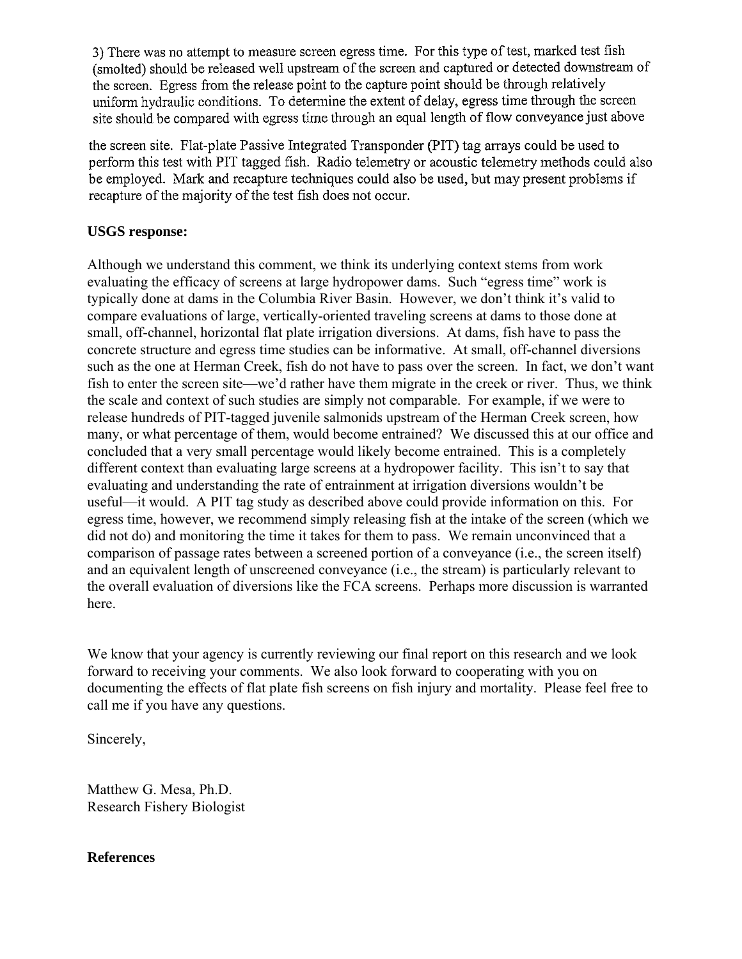3) There was no attempt to measure screen egress time. For this type of test, marked test fish (smolted) should be released well upstream of the screen and captured or detected downstream of the screen. Egress from the release point to the capture point should be through relatively uniform hydraulic conditions. To determine the extent of delay, egress time through the screen site should be compared with egress time through an equal length of flow conveyance just above

the screen site. Flat-plate Passive Integrated Transponder (PIT) tag arrays could be used to perform this test with PIT tagged fish. Radio telemetry or acoustic telemetry methods could also be employed. Mark and recapture techniques could also be used, but may present problems if recapture of the majority of the test fish does not occur.

# **USGS response:**

Although we understand this comment, we think its underlying context stems from work evaluating the efficacy of screens at large hydropower dams. Such "egress time" work is typically done at dams in the Columbia River Basin. However, we don't think it's valid to compare evaluations of large, vertically-oriented traveling screens at dams to those done at small, off-channel, horizontal flat plate irrigation diversions. At dams, fish have to pass the concrete structure and egress time studies can be informative. At small, off-channel diversions such as the one at Herman Creek, fish do not have to pass over the screen. In fact, we don't want fish to enter the screen site—we'd rather have them migrate in the creek or river. Thus, we think the scale and context of such studies are simply not comparable. For example, if we were to release hundreds of PIT-tagged juvenile salmonids upstream of the Herman Creek screen, how many, or what percentage of them, would become entrained? We discussed this at our office and concluded that a very small percentage would likely become entrained. This is a completely different context than evaluating large screens at a hydropower facility. This isn't to say that evaluating and understanding the rate of entrainment at irrigation diversions wouldn't be useful—it would. A PIT tag study as described above could provide information on this. For egress time, however, we recommend simply releasing fish at the intake of the screen (which we did not do) and monitoring the time it takes for them to pass. We remain unconvinced that a comparison of passage rates between a screened portion of a conveyance (i.e., the screen itself) and an equivalent length of unscreened conveyance (i.e., the stream) is particularly relevant to the overall evaluation of diversions like the FCA screens. Perhaps more discussion is warranted here.

We know that your agency is currently reviewing our final report on this research and we look forward to receiving your comments. We also look forward to cooperating with you on documenting the effects of flat plate fish screens on fish injury and mortality. Please feel free to call me if you have any questions.

Sincerely,

Matthew G. Mesa, Ph.D. Research Fishery Biologist

# **References**